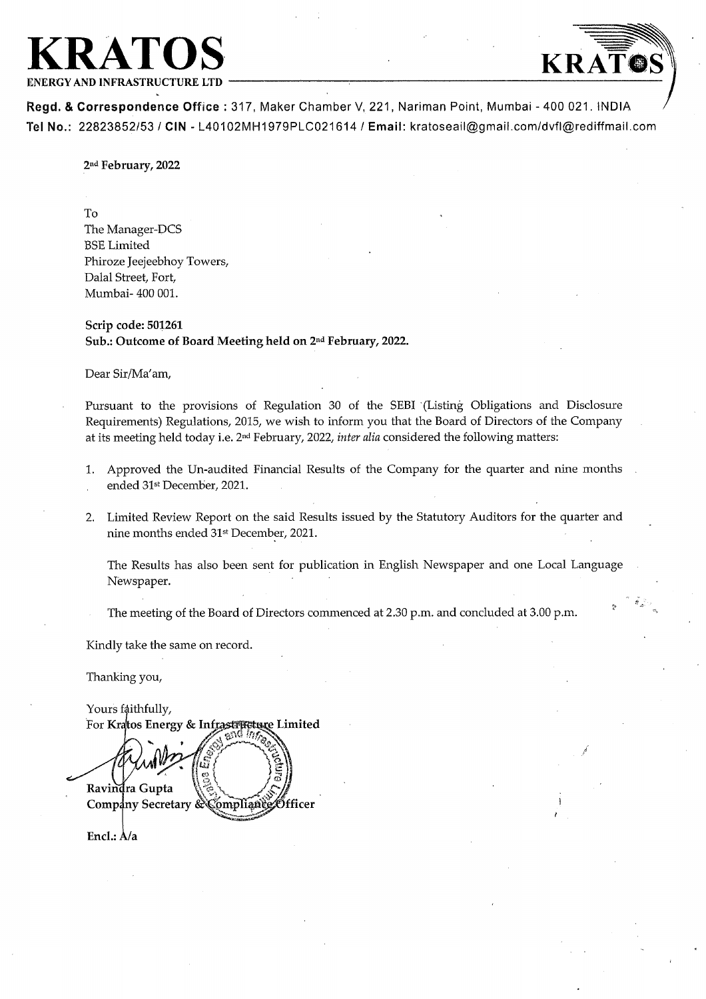



 $\mathcal{L}$ 

Regd. & Correspondence Office: 317, Maker Chamber V, 221, Nariman Point, Mumbai - 400 021. INDIA Tel No.: 22823852/53 / CIN - L40102MH1979PLC021614 / Email: kratoseail@gmail.com/dvfl@rediffmail.com

2nd February, 2022

To

The Manager-DCS BSE Limited Phiroze Jeejeebhoy Towers, Dalal Street, Fort, Mumbai- 400 001.

Scrip code: 501261 Sub.: Outcome of Board Meeting held on 2<sup>nd</sup> February, 2022.

Dear Sir/Ma'am,

Pursuant to the provisions of Regulation 30 of the SEBI (Listing Obligations and Disclosure Requirements) Regulations, 2015, we wish to inform you that the Board of Directors of the Company at its meeting held today i.e. 2<sup>nd</sup> February, 2022, *inter alia* considered the following matters:

- 1. Approved the Un-audited Financial Results of the Company for the quarter and nine months ended 31st December, 2021.
- 2. Limited Review Report on the said Results issued by the Statutory Auditors for the quarter and nine months ended 31<sup>st</sup> December, 2021.

The Results has also been sent for publication in English Newspaper and one Local Language Newspaper

The meeting of the Board of Directors commenced at 2.30 p.m. and concluded at 3.00 p.m.

Kindly take the same on record.

Thanking you,

Yours faithfully, For Kratos Energy & Infrastructure Limited  $\tilde{\mathbf{e}}$ nd  $\eta \tilde{\eta}$ 

Ravindra Gupta Company Secretary & Compliants Officer

Encl.:  $A/a$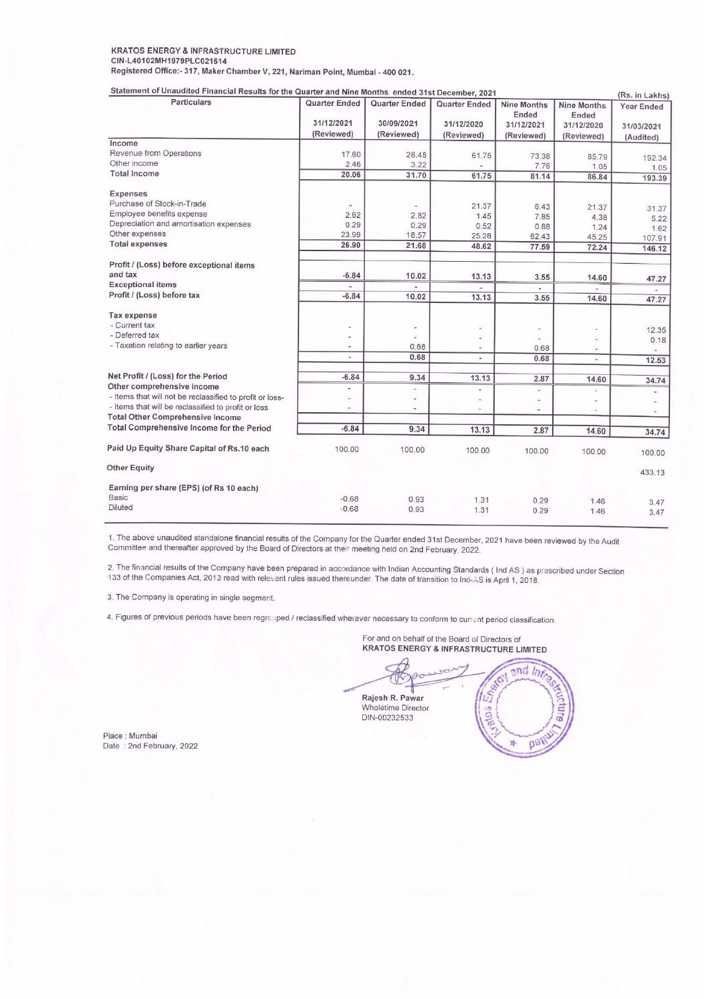## KRATOS ENERGY & INFRASTRUCTURE LIMITED CIN-L40102MH1979PLC021614 KRATOS ENERGY & INFRASTRUCTURE LIMITED<br>CIN-L40102MH1979PLC021614<br>Registered Office:- 317, Maker Chamber V, 221, Nariman Point, Mumbai - 40<br>Statement of Unaudited Financial Results for the Quarter and Nine Months Registered Office:- 317, Maker Chamber V, 221, Nariman Point, Mumbai - 400 021.

| KRATOS ENERGY & INFRASTRUCTURE LIMITED<br>CIN-L40102MH1979PLC021614                                                                                        |                                  |                                                   |                                   |                              |                                           |                                            |
|------------------------------------------------------------------------------------------------------------------------------------------------------------|----------------------------------|---------------------------------------------------|-----------------------------------|------------------------------|-------------------------------------------|--------------------------------------------|
| Registered Office:- 317, Maker Chamber V, 221, Nariman Point, Mumbai - 400 021.                                                                            |                                  |                                                   |                                   |                              |                                           |                                            |
| Statement of Unaudited Financial Results for the Quarter and Nine Months ended 31st December, 2021<br><b>Particulars</b>                                   | Quarter Ended                    | Quarter Ended                                     |                                   |                              |                                           |                                            |
|                                                                                                                                                            |                                  |                                                   | <b>Quarter Ended</b>              | Nine Months                  |                                           | (Rs. in Lakhs)                             |
|                                                                                                                                                            | 31/12/2021<br>(Reviewed)         | 30/09/2021                                        | 31/12/2020                        | Ended<br>31/12/2021          | <b>Nine Months</b><br>Ended<br>31/12/2020 | Year Ended<br>31/03/2021                   |
| Income<br>Revenue from Operations                                                                                                                          | 17.60                            | (Reviewed)<br>28.48                               | (Reviewed)                        | (Reviewed)                   | (Reviewed)                                | (Audited)                                  |
| Other income<br><b>Total Income</b>                                                                                                                        | 2.46<br>20.06                    | 3.22<br>31.70                                     | 61.75<br>61.75                    | 73.38<br>7.76<br>81.14       | 85.79<br>1.05<br>86.84                    | 192.34<br>1.05<br>193.39                   |
| Expenses                                                                                                                                                   |                                  |                                                   |                                   |                              |                                           |                                            |
| Purchase of Stock-in-Trade<br>Employee benefits expense                                                                                                    | $\overline{\phantom{a}}$<br>2.62 | $\overline{\phantom{a}}$<br>2.82                  | 21.37<br>1.45                     | 6.43<br>7.85                 | 21.37<br>4.38                             | 31.37<br>5.22                              |
| Depreciation and amortisation expenses<br>Other expenses<br><b>Total expenses</b>                                                                          | 0.29<br>23.99                    | 0.29<br>18.57                                     | 0.52<br>25.28                     | 0.88<br>62.43                | 1.24<br>45.25                             | 1.62<br>107.91                             |
| Profit / (Loss) before exceptional items                                                                                                                   | 26.90                            | 21.68                                             | 48.62                             | 77.59                        | 72.24                                     | 146.12                                     |
| and tax<br><b>Exceptional items</b>                                                                                                                        | $-6.84$                          | 10.02                                             | 13.13<br>$\overline{\phantom{a}}$ | 3.55<br>$\blacksquare$       | 14.60<br>$\blacksquare$                   | 47.27<br>÷.                                |
| Profit / (Loss) before tax                                                                                                                                 | $-6.84$                          | 10.02                                             | 13.13                             | 3.55                         | 14.60                                     | 47.27                                      |
| Tax expense<br>- Current tax                                                                                                                               | $\sim$                           | $\overline{\phantom{a}}$                          | ä,                                | $\qquad \qquad \blacksquare$ |                                           | 12.35                                      |
| - Deferred tax<br>- Taxation relating to earlier years                                                                                                     | ä,<br>×,                         | ä,<br>0.68                                        | ÷.<br>Ξ                           | ×,<br>0.68                   | $\overline{\phantom{a}}$                  | 0.18<br>i.                                 |
|                                                                                                                                                            | $\sim$                           | 0.68                                              | i.                                | 0.68                         | $\overline{\phantom{a}}$                  | 12.53                                      |
| Net Profit / (Loss) for the Period<br>Other comprehensive income                                                                                           | $-6.84$<br>i,<br>$\overline{a}$  | 9.34<br>$\overline{\phantom{a}}$<br>$\frac{1}{2}$ | 13.13<br>L,                       | 2.87<br>۰.                   | 14.60<br>-                                | 34.74                                      |
| - Items that will not be reclassified to profit or loss-<br>- Items that will be reclassified to profit or loss<br><b>Total Other Comprehensive Income</b> | ۰                                | $\overline{\phantom{a}}$                          |                                   | ä,<br>۷                      | ÷                                         | $\overline{\phantom{a}}$<br>$\overline{a}$ |
| Total Comprehensive Income for the Period                                                                                                                  | $-6.84$                          | 9.34                                              | 13.13                             | 2.87                         | 14.60                                     | 34.74                                      |
| Paid Up Equity Share Capital of Rs.10 each                                                                                                                 | 100.00                           | 100.00                                            | 100.00                            | 100.00                       | 100.00                                    | 100.00                                     |
| <b>Other Equity</b>                                                                                                                                        |                                  |                                                   |                                   |                              |                                           | 433.13                                     |
| Earning per share (EPS) (of Rs 10 each)<br>Basic<br>Diluted                                                                                                | $-0.68$<br>$-0.68$               | 0.93<br>0.93                                      | 1.31<br>1.31                      | 0.29<br>0.29                 | 1.46<br>1.46                              | 3.47<br>3.47                               |

1. The above unaudited standalone financial results of the Company for the Quarter ended 31st December, 2021 have been reviewed by the Audit<br>Committee and thereafter approved by the Board of Directors at their meeting held

2. The financial results of the Company have been prepared in accordance with Indian Accounting Standards ( Ind AS ) as prescribed under Section<br>133 of the Companies Act, 2013 read with relevent rules issued thereunder. Th

3. The Company is operating in single segment.

4. Figures of previous periods have been regrouped / reclassified wherever necessary to conform to current period classification.

For and on behalf of the Board of Directors of KRATOS ENERGY & INFRASTRUCTURE LIMITED

Brade with Indian Accessor<br>
herever necessary to<br>
For and on beha<br>
KRATOS ENER<br>
RATOS ENER<br>
RAJES IN R. Pawa Rajesh R. Pawar Wholetime Director DIN-00232533



Place : Mumbai Date: 2nd February, 2022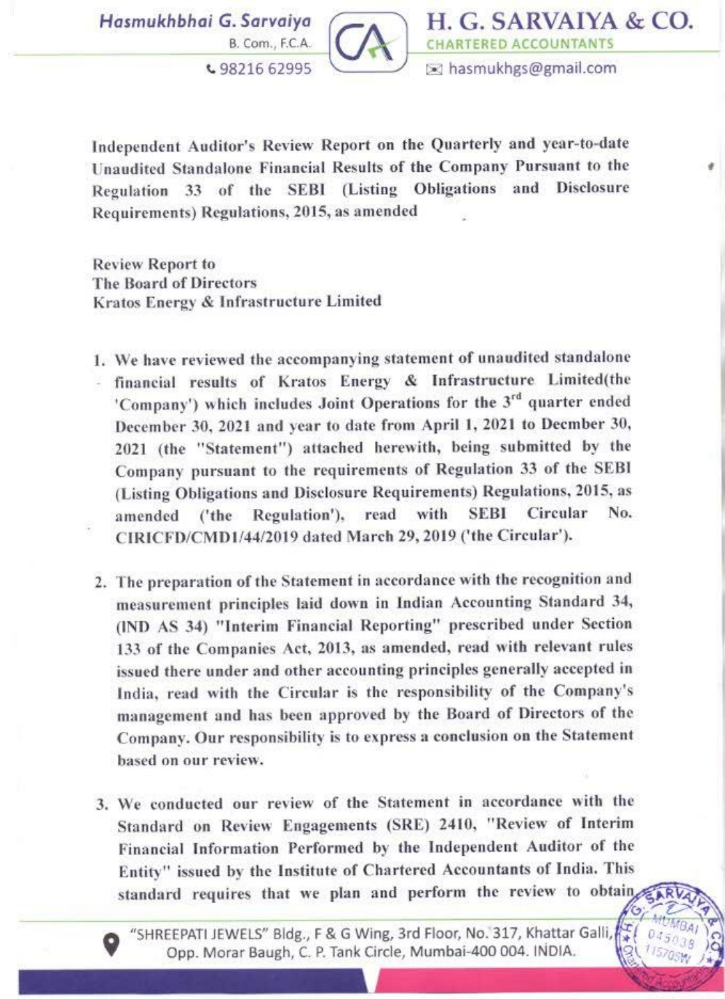Hasmukhbhai



H. G. SARVAIYA & CO. B. Com., F.C.A. **CHARTERED ACCOUNTANTS** 

Independent Auditor's Review Report on the Quarterly and year-to-date Unaudited Standalone Financial Results of the Company Pursuant to the ' Regulation 33 of the SEBI (Listing Obligations and Disclosure Requirements) Regulations, 2015, as amended

Review Report to 'The Board of Directors Kratos Energy & Infrastructure Limited

- 1. We have reviewed the accompanying statement of unaudited standalone financial results of Kratos Energy & Infrastructure Limited(the 'Company') which includes Joint Operations for the  $3^{rd}$  quarter ended December 30, 2021 and year to date from April 1, 2021 to Decmber 30, 2021 (the "State Company pursuant to the requirements of Regulation 33 of the SEBI (Listing Obligations and Disclosure Requirements) Regulations, 2015, as amended ('the Regulation'), read with SEBI Circular No. CIRICFD/CMD 1/44/2019 dated March 29, 2019 ('the Circular').
- 2. The preparation of the Statement in accordance with the recognition and measurement principles laid down in Indian Accounting Standard 34, (IND AS 34) "Interim Financial Reporting" prescribed under Section 133 of the Companies Act, 2013, as amended, read with relevant rules sued there under and other accounting principles generally accepted in India, read with the Circular is the responsibility of the Company's management and has been approved by the Board of Directors of the management and this seen approved by the conclusion on the Statement based on our review. Review Report to<br>The Board of Directors<br>Kratos Energy & Infrastructure Limite<br>1. We have reviewed the accompanying<br>1. Thancial results of Kratos Ener<br>10 Company') which includes Joint O<br>December 30, 2021 and year to date<br>2
	- 3. We conducted our review of the Statement in accordance with the Standard on Review Engagements (SRE) 2410, "Review of Interim Financial Information Performed by the Independent Auditor of the Entity" issued by the Institute of Chartered Accountants of India, This

9 "SHREEPATI JEWELS" Bidg., F & G Wing, 3rd Floor, No. 317, Khattar Galli, Opp. Morar Baugh, C. P. Tank Circle, Mumbai-400 004. INDIA.

Ì,

Ę

Ĩ.

۰